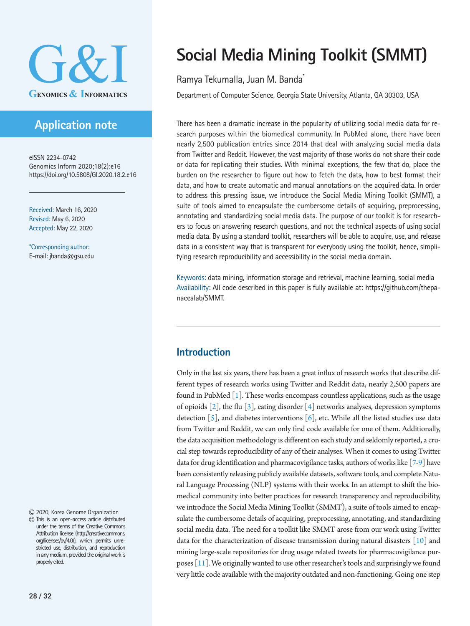

# **Application note**

eISSN 2234-0742 Genomics Inform 2020;18(2):e16 https://doi.org/10.5808/GI.2020.18.2.e16

Received: March 16, 2020 Revised: May 6, 2020 Accepted: May 22, 2020

\*Corresponding author: E-mail: jbanda@gsu.edu

2020, Korea Genome Organization

This is an open-access article distributed under the terms of the Creative Commons Attribution license (http://creativecommons. org/licenses/by/4.0/), which permits unrestricted use, distribution, and reproduction in any medium, provided the original work is properly cited.

# **Social Media Mining Toolkit (SMMT)**

### Ramya Tekumalla, Juan M. Banda\*

Department of Computer Science, Georgia State University, Atlanta, GA 30303, USA

There has been a dramatic increase in the popularity of utilizing social media data for research purposes within the biomedical community. In PubMed alone, there have been nearly 2,500 publication entries since 2014 that deal with analyzing social media data from Twitter and Reddit. However, the vast majority of those works do not share their code or data for replicating their studies. With minimal exceptions, the few that do, place the burden on the researcher to figure out how to fetch the data, how to best format their data, and how to create automatic and manual annotations on the acquired data. In order to address this pressing issue, we introduce the Social Media Mining Toolkit (SMMT), a suite of tools aimed to encapsulate the cumbersome details of acquiring, preprocessing, annotating and standardizing social media data. The purpose of our toolkit is for researchers to focus on answering research questions, and not the technical aspects of using social media data. By using a standard toolkit, researchers will be able to acquire, use, and release data in a consistent way that is transparent for everybody using the toolkit, hence, simplifying research reproducibility and accessibility in the social media domain.

Keywords: data mining, information storage and retrieval, machine learning, social media Availability: All code described in this paper is fully available at: [https://github.com/thepa](https://github.com/thepanacealab/SMMT. )[nacealab/SMMT.](https://github.com/thepanacealab/SMMT. ) 

### **Introduction**

Only in the last six years, there has been a great influx of research works that describe different types of research works using Twitter and Reddit data, nearly 2,500 papers are found in PubMed  $\lceil 1 \rceil$ . These works encompass countless applications, such as the usage of opioids  $\lceil 2 \rceil$ , the flu  $\lceil 3 \rceil$ , eating disorder  $\lceil 4 \rceil$  networks analyses, depression symptoms detection  $[5]$  $[5]$ , and diabetes interventions  $[6]$  $[6]$ , etc. While all the listed studies use data from Twitter and Reddit, we can only find code available for one of them. Additionally, the data acquisition methodology is different on each study and seldomly reported, a crucial step towards reproducibility of any of their analyses. When it comes to using Twitter data for drug identification and pharmacovigilance tasks, authors of works like [\[7](#page-3-6)[-9](#page-3-7)] have been consistently releasing publicly available datasets, software tools, and complete Natural Language Processing (NLP) systems with their works. In an attempt to shift the biomedical community into better practices for research transparency and reproducibility, we introduce the Social Media Mining Toolkit (SMMT), a suite of tools aimed to encapsulate the cumbersome details of acquiring, preprocessing, annotating, and standardizing social media data. The need for a toolkit like SMMT arose from our work using Twitter data for the characterization of disease transmission during natural disasters  $\lceil 10 \rceil$  and mining large-scale repositories for drug usage related tweets for pharmacovigilance purposes  $[11]$  $[11]$  $[11]$ . We originally wanted to use other researcher's tools and surprisingly we found very little code available with the majority outdated and non-functioning. Going one step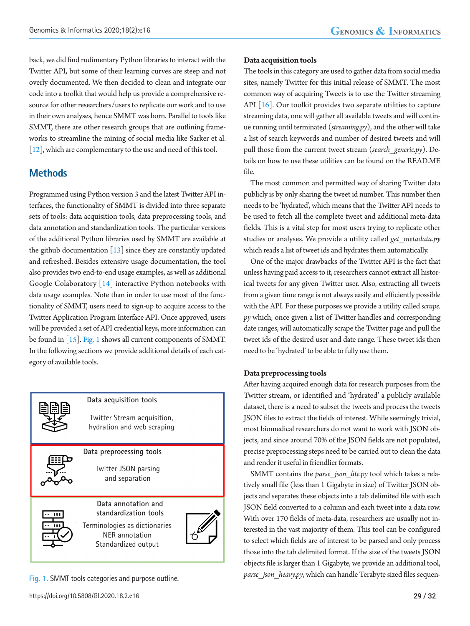back, we did find rudimentary Python libraries to interact with the Twitter API, but some of their learning curves are steep and not overly documented. We then decided to clean and integrate our code into a toolkit that would help us provide a comprehensive resource for other researchers/users to replicate our work and to use in their own analyses, hence SMMT was born. Parallel to tools like SMMT, there are other research groups that are outlining frameworks to streamline the mining of social media like Sarker et al.  $[12]$  $[12]$ , which are complementary to the use and need of this tool.

### **Methods**

Programmed using Python version 3 and the latest Twitter API interfaces, the functionality of SMMT is divided into three separate sets of tools: data acquisition tools, data preprocessing tools, and data annotation and standardization tools. The particular versions of the additional Python libraries used by SMMT are available at the github documentation  $\begin{bmatrix} 13 \end{bmatrix}$  since they are constantly updated and refreshed. Besides extensive usage documentation, the tool also provides two end-to-end usage examples, as well as additional Google Colaboratory [\[14](#page-4-2)] interactive Python notebooks with data usage examples. Note than in order to use most of the functionality of SMMT, users need to sign-up to acquire access to the Twitter Application Program Interface API. Once approved, users will be provided a set of API credential keys, more information can be found in [\[15](#page-4-3)]. [Fig. 1](#page-1-0) shows all current components of SMMT. In the following sections we provide additional details of each category of available tools.

<span id="page-1-0"></span>

#### **Data acquisition tools**

The tools in this category are used to gather data from social media sites, namely Twitter for this initial release of SMMT. The most common way of acquiring Tweets is to use the Twitter streaming API  $[16]$  $[16]$ . Our toolkit provides two separate utilities to capture streaming data, one will gather all available tweets and will continue running until terminated (*streaming.py*), and the other will take a list of search keywords and number of desired tweets and will pull those from the current tweet stream (*search\_generic.py*). Details on how to use these utilities can be found on the READ.ME file.

The most common and permitted way of sharing Twitter data publicly is by only sharing the tweet id number. This number then needs to be 'hydrated', which means that the Twitter API needs to be used to fetch all the complete tweet and additional meta-data fields. This is a vital step for most users trying to replicate other studies or analyses. We provide a utility called *get\_metadata.py* which reads a list of tweet ids and hydrates them automatically.

One of the major drawbacks of the Twitter API is the fact that unless having paid access to it, researchers cannot extract all historical tweets for any given Twitter user. Also, extracting all tweets from a given time range is not always easily and efficiently possible with the API. For these purposes we provide a utility called *scrape. py* which, once given a list of Twitter handles and corresponding date ranges, will automatically scrape the Twitter page and pull the tweet ids of the desired user and date range. These tweet ids then need to be 'hydrated' to be able to fully use them.

#### **Data preprocessing tools**

After having acquired enough data for research purposes from the Twitter stream, or identified and 'hydrated' a publicly available dataset, there is a need to subset the tweets and process the tweets JSON files to extract the fields of interest. While seemingly trivial, most biomedical researchers do not want to work with JSON objects, and since around 70% of the JSON fields are not populated, precise preprocessing steps need to be carried out to clean the data and render it useful in friendlier formats.

SMMT contains the *parse* json lite.py tool which takes a relatively small file (less than 1 Gigabyte in size) of Twitter JSON objects and separates these objects into a tab delimited file with each JSON field converted to a column and each tweet into a data row. With over 170 fields of meta-data, researchers are usually not interested in the vast majority of them. This tool can be configured to select which fields are of interest to be parsed and only process those into the tab delimited format. If the size of the tweets JSON objects file is larger than 1 Gigabyte, we provide an additional tool, *parse\_json\_heavy.py*, which can handle Terabyte sized files sequen- **Fig. 1.** SMMT tools categories and purpose outline.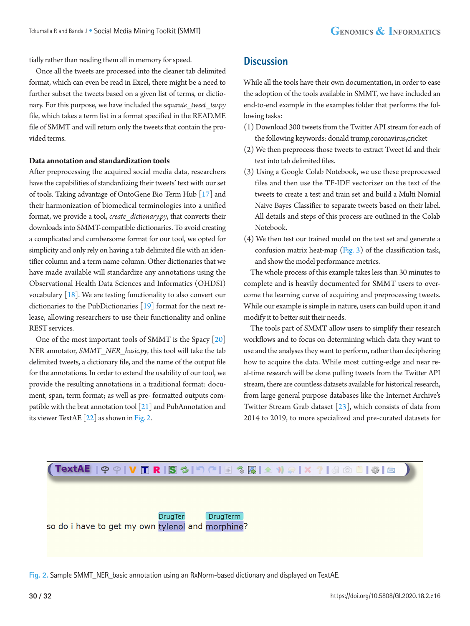tially rather than reading them all in memory for speed.

Once all the tweets are processed into the cleaner tab delimited format, which can even be read in Excel, there might be a need to further subset the tweets based on a given list of terms, or dictionary. For this purpose, we have included the *separate\_tweet\_tsv.py* file, which takes a term list in a format specified in the READ.ME file of SMMT and will return only the tweets that contain the provided terms.

#### **Data annotation and standardization tools**

After preprocessing the acquired social media data, researchers have the capabilities of standardizing their tweets' text with our set of tools. Taking advantage of OntoGene Bio Term Hub [\[17](#page-4-5)] and their harmonization of biomedical terminologies into a unified format, we provide a tool, *create\_dictionary.py*, that converts their downloads into SMMT-compatible dictionaries. To avoid creating a complicated and cumbersome format for our tool, we opted for simplicity and only rely on having a tab delimited file with an identifier column and a term name column. Other dictionaries that we have made available will standardize any annotations using the Observational Health Data Sciences and Informatics (OHDSI) vocabulary [\[18](#page-4-6)]. We are testing functionality to also convert our dictionaries to the PubDictionaries [\[19](#page-4-7)] format for the next release, allowing researchers to use their functionality and online REST services.

One of the most important tools of SMMT is the Spacy [\[20](#page-4-8)] NER annotator, *SMMT\_NER\_basic.py*, this tool will take the tab delimited tweets, a dictionary file, and the name of the output file for the annotations. In order to extend the usability of our tool, we provide the resulting annotations in a traditional format: document, span, term format; as well as pre- formatted outputs compatible with the brat annotation tool [\[21\]](#page-4-9) and PubAnnotation and its viewer TextAE [\[22\]](#page-4-10) as shown in [Fig. 2.](#page-2-0)

### **Discussion**

While all the tools have their own documentation, in order to ease the adoption of the tools available in SMMT, we have included an end-to-end example in the examples folder that performs the following tasks:

- (1) Download 300 tweets from the Twitter API stream for each of the following keywords: donald trump,coronavirus,cricket
- (2) We then preprocess those tweets to extract Tweet Id and their text into tab delimited files.
- (3) Using a Google Colab Notebook, we use these preprocessed files and then use the TF-IDF vectorizer on the text of the tweets to create a test and train set and build a Multi Nomial Naive Bayes Classifier to separate tweets based on their label. All details and steps of this process are outlined in the Colab Notebook.
- (4) We then test our trained model on the test set and generate a confusion matrix heat-map  $(Fig. 3)$  $(Fig. 3)$  of the classification task, and show the model performance metrics.

The whole process of this example takes less than 30 minutes to complete and is heavily documented for SMMT users to overcome the learning curve of acquiring and preprocessing tweets. While our example is simple in nature, users can build upon it and modify it to better suit their needs.

The tools part of SMMT allow users to simplify their research workflows and to focus on determining which data they want to use and the analyses they want to perform, rather than deciphering how to acquire the data. While most cutting-edge and near real-time research will be done pulling tweets from the Twitter API stream, there are countless datasets available for historical research, from large general purpose databases like the Internet Archive's Twitter Stream Grab dataset [\[23](#page-4-11)], which consists of data from 2014 to 2019, to more specialized and pre-curated datasets for

<span id="page-2-0"></span>

**Fig. 2.** Sample SMMT\_NER\_basic annotation using an RxNorm-based dictionary and displayed on TextAE.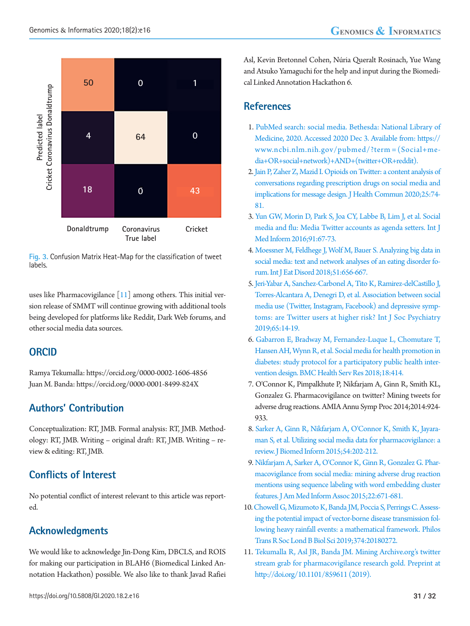<span id="page-3-10"></span>

**Fig. 3.** Confusion Matrix Heat-Map for the classification of tweet labels.

uses like Pharmacovigilance  $[11]$  among others. This initial version release of SMMT will continue growing with additional tools being developed for platforms like Reddit, Dark Web forums, and other social media data sources.

### **ORCID**

Ramya Tekumalla: https://orcid.org/0000-0002-1606-4856 Juan M. Banda: https://orcid.org/0000-0001-8499-824X

### **Authors' Contribution**

Conceptualization: RT, JMB. Formal analysis: RT, JMB. Methodology: RT, JMB. Writing – original draft: RT, JMB. Writing – review & editing: RT, JMB.

# **Conflicts of Interest**

No potential conflict of interest relevant to this article was reported.

# **Acknowledgments**

We would like to acknowledge Jin-Dong Kim, DBCLS, and ROIS for making our participation in BLAH6 (Biomedical Linked Annotation Hackathon) possible. We also like to thank Javad Rafiei

Asl, Kevin Bretonnel Cohen, Núria Queralt Rosinach, Yue Wang and Atsuko Yamaguchi for the help and input during the Biomedical Linked Annotation Hackathon 6.

### **References**

- <span id="page-3-0"></span>1. PubMed search: social media. Bethesda: National Library of Medicine, 2020. Accessed 2020 Dec 3. Available from: https:[//](www.ncbi.nlm.nih.gov/pubmed/?term=(Social+media+OR+social+network) [www.ncbi.nlm.nih.gov/pubmed/?term = \(Social+me](www.ncbi.nlm.nih.gov/pubmed/?term=(Social+media+OR+social+network)[dia+OR+social+netwo](www.ncbi.nlm.nih.gov/pubmed/?term=(Social+media+OR+social+network)rk)+AND+(twitter+OR+reddit).
- <span id="page-3-1"></span>2[. Jain P, Zaher Z, Mazid I. Opioids on Twitter: a content analysis of](https://doi.org/10.1080/10810730.2019.1707911) [conversations regarding prescription drugs on social media and](https://doi.org/10.1080/10810730.2019.1707911) [implications for message design. J Health Commun 2020;25:74-](https://doi.org/10.1080/10810730.2019.1707911) [81.](https://doi.org/10.1080/10810730.2019.1707911)
- <span id="page-3-2"></span>3[. Yun GW, Morin D, Park S, Joa CY, Labbe B, Lim J, et al. Social](https://doi.org/10.1016/j.ijmedinf.2016.04.009) [media and flu: Media Twitter accounts as agenda setters. Int J](https://doi.org/10.1016/j.ijmedinf.2016.04.009) [Med Inform 2016;91:67-73.](https://doi.org/10.1016/j.ijmedinf.2016.04.009)
- <span id="page-3-3"></span>[4. Moessner M, Feldhege J, Wolf M, Bauer S. Analyzing big data in](https://doi.org/10.1002/eat.22878) [social media: text and network analyses of an eating disorder fo](https://doi.org/10.1002/eat.22878)[rum. Int J Eat Disord 2018;51:656-667.](https://doi.org/10.1002/eat.22878)
- <span id="page-3-4"></span>[5. Jeri-Yabar A, Sanchez-Carbonel A, Tito K, Ramirez-delCastillo J,](https://doi.org/10.1177/0020764018814270) [Torres-Alcantara A, Denegri D, et al. Association between social](https://doi.org/10.1177/0020764018814270) [media use \(Twitter, Instagram, Facebook\) and depressive symp](https://doi.org/10.1177/0020764018814270)[toms: are Twitter users at higher risk? Int J Soc Psychiatry](https://doi.org/10.1177/0020764018814270) [2019;65:14-19.](https://doi.org/10.1177/0020764018814270)
- <span id="page-3-5"></span>6[. Gabarron E, Bradway M, Fernandez-Luque L, Chomutare T,](https://doi.org/10.1186/s12913-018-3178-7) [Hansen AH, Wynn R, et al. Social media for health promotion in](https://doi.org/10.1186/s12913-018-3178-7) [diabetes: study protocol for a participatory public health inter](https://doi.org/10.1186/s12913-018-3178-7)[vention design. BMC Health Serv Res 2018;18:414.](https://doi.org/10.1186/s12913-018-3178-7)
- <span id="page-3-6"></span>7. O'Connor K, Pimpalkhute P, Nikfarjam A, Ginn R, Smith KL, Gonzalez G. Pharmacovigilance on twitter? Mining tweets for adverse drug reactions. AMIA Annu Symp Proc 2014;2014:924- 933.
- 8[. Sarker A, Ginn R, Nikfarjam A, O'Connor K, Smith K, Jayara](https://doi.org/10.1016/j.jbi.2015.02.004)[man S, et al. Utilizing social media data for pharmacovigilance: a](https://doi.org/10.1016/j.jbi.2015.02.004) [review. J Biomed Inform 2015;54:202-212.](https://doi.org/10.1016/j.jbi.2015.02.004)
- <span id="page-3-7"></span>[9. Nikfarjam A, Sarker A, O'Connor K, Ginn R, Gonzalez G. Phar](https://doi.org/10.1093/jamia/ocu041)[macovigilance from social media: mining adverse drug reaction](https://doi.org/10.1093/jamia/ocu041) [mentions using sequence labeling with word embedding cluster](https://doi.org/10.1093/jamia/ocu041) [features. J Am Med Inform Assoc 2015;22:671-681.](https://doi.org/10.1093/jamia/ocu041)
- <span id="page-3-8"></span>1[0. Chowell G, Mizumoto K, Banda JM, Poccia S, Perrings C. Assess](https://doi.org/10.1098/rstb.2018.0272)[ing the potential impact of vector-borne disease transmission fol](https://doi.org/10.1098/rstb.2018.0272)[lowing heavy rainfall events: a mathematical framework. Philos](https://doi.org/10.1098/rstb.2018.0272) [Trans R Soc Lond B Biol Sci 2019;374:20180272.](https://doi.org/10.1098/rstb.2018.0272)
- <span id="page-3-9"></span>11. [Tekumalla R, Asl JR, Banda JM. Mining Archive.org's twitter](http://doi.org/10.1101/859611.) [stream grab for pharmacovigilance research gold. Preprint at](http://doi.org/10.1101/859611.) [http://doi.org/10.1101/](http://doi.org/10.1101/859611.)859611 (2019).